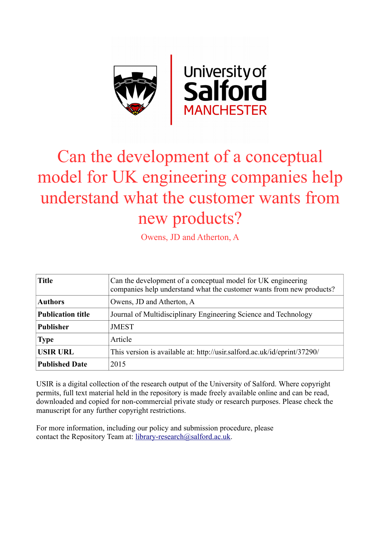

# Can the development of a conceptual model for UK engineering companies help understand what the customer wants from new products?

Owens, JD and Atherton, A

| <b>Title</b>             | Can the development of a conceptual model for UK engineering<br>companies help understand what the customer wants from new products? |  |
|--------------------------|--------------------------------------------------------------------------------------------------------------------------------------|--|
| <b>Authors</b>           | Owens, JD and Atherton, A                                                                                                            |  |
| <b>Publication title</b> | Journal of Multidisciplinary Engineering Science and Technology                                                                      |  |
| <b>Publisher</b>         | <b>JMEST</b>                                                                                                                         |  |
| <b>Type</b>              | Article                                                                                                                              |  |
| <b>USIR URL</b>          | This version is available at: http://usir.salford.ac.uk/id/eprint/37290/                                                             |  |
| <b>Published Date</b>    | 2015                                                                                                                                 |  |

USIR is a digital collection of the research output of the University of Salford. Where copyright permits, full text material held in the repository is made freely available online and can be read, downloaded and copied for non-commercial private study or research purposes. Please check the manuscript for any further copyright restrictions.

For more information, including our policy and submission procedure, please contact the Repository Team at: [library-research@salford.ac.uk.](mailto:library-research@salford.ac.uk)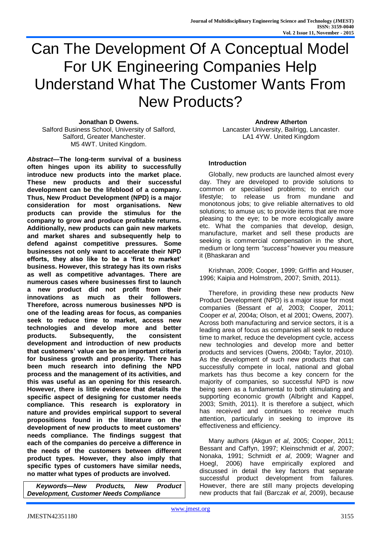# Can The Development Of A Conceptual Model For UK Engineering Companies Help Understand What The Customer Wants From New Products?

**Jonathan D Owens.** Salford Business School, University of Salford, Salford, Greater Manchester. M5 4WT. United Kingdom.

*Abstract***—The long-term survival of a business often hinges upon its ability to successfully introduce new products into the market place. These new products and their successful development can be the lifeblood of a company. Thus, New Product Development (NPD) is a major consideration for most organisations. New products can provide the stimulus for the company to grow and produce profitable returns. Additionally, new products can gain new markets and market shares and subsequently help to defend against competitive pressures. Some businesses not only want to accelerate their NPD efforts, they also like to be a 'first to market' business. However, this strategy has its own risks as well as competitive advantages. There are numerous cases where businesses first to launch a new product did not profit from their innovations as much as their followers. Therefore, across numerous businesses NPD is one of the leading areas for focus, as companies seek to reduce time to market, access new technologies and develop more and better products. Subsequently, the consistent development and introduction of new products that customers' value can be an important criteria for business growth and prosperity. There has been much research into defining the NPD process and the management of its activities, and this was useful as an opening for this research. However, there is little evidence that details the specific aspect of designing for customer needs compliance. This research is exploratory in nature and provides empirical support to several propositions found in the literature on the development of new products to meet customers' needs compliance. The findings suggest that each of the companies do perceive a difference in the needs of the customers between different product types. However, they also imply that specific types of customers have similar needs, no matter what types of products are involved.** 

*Keywords—New Products, New Product Development, Customer Needs Compliance*

**Andrew Atherton** Lancaster University, Bailrigg, Lancaster. LA1 4YW. United Kingdom

#### **Introduction**

Globally, new products are launched almost every day. They are developed to provide solutions to common or specialised problems; to enrich our lifestyle; to release us from mundane and monotonous jobs; to give reliable alternatives to old solutions; to amuse us; to provide items that are more pleasing to the eye; to be more ecologically aware etc. What the companies that develop, design, manufacture, market and sell these products are seeking is commercial compensation in the short, medium or long term *"success"* however you measure it (Bhaskaran and

Krishnan, 2009; Cooper, 1999; Griffin and Houser, 1996; Kaipia and Holmstrom, 2007; Smith, 2011).

Therefore, in providing these new products New Product Development (NPD) is a major issue for most companies (Bessant *et al*, 2003; Cooper, 2011; Cooper *et al*, 2004a; Olson, et al 2001; Owens, 2007). Across both manufacturing and service sectors, it is a leading area of focus as companies all seek to reduce time to market, reduce the development cycle, access new technologies and develop more and better products and services (Owens, 2004b; Taylor, 2010). As the development of such new products that can successfully compete in local, national and global markets has thus become a key concern for the majority of companies, so successful NPD is now being seen as a fundamental to both stimulating and supporting economic growth (Albright and Kappel, 2003; Smith, 2011). It is therefore a subject, which has received and continues to receive much attention, particularly in seeking to improve its effectiveness and efficiency.

Many authors (Akgun *et al*, 2005; Cooper, 2011; Bessant and Caffyn, 1997; Kleinschmidt *et al*, 2007; Nonaka, 1991; Schmidt *et al*, 2009; Wagner and Hoegl, 2006) have empirically explored and discussed in detail the key factors that separate successful product development from failures. However, there are still many projects developing new products that fail (Barczak *et al*, 2009), because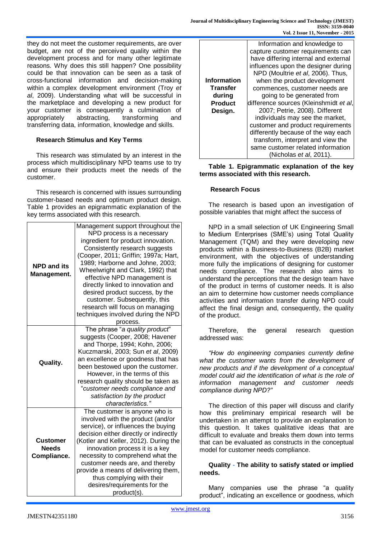they do not meet the customer requirements, are over budget, are not of the perceived quality within the development process and for many other legitimate reasons. Why does this still happen? One possibility could be that innovation can be seen as a task of cross-functional information and decision-making within a complex development environment (Troy *et al*, 2009). Understanding what will be successful in the marketplace and developing a new product for your customer is consequently a culmination of appropriately a abstracting. transforming and appropriately abstracting, transforming and transferring data, information, knowledge and skills.

# **Research Stimulus and Key Terms**

This research was stimulated by an interest in the process which multidisciplinary NPD teams use to try and ensure their products meet the needs of the customer.

This research is concerned with issues surrounding customer-based needs and optimum product design. Table 1 provides an epigrammatic explanation of the key terms associated with this research.

|                    | Management support throughout the          |  |  |
|--------------------|--------------------------------------------|--|--|
|                    | NPD process is a necessary                 |  |  |
|                    | ingredient for product innovation.         |  |  |
|                    | Consistently research suggests             |  |  |
|                    | (Cooper, 2011; Griffin; 1997a; Hart,       |  |  |
|                    | 1989; Harborne and Johne, 2003;            |  |  |
| <b>NPD and its</b> | Wheelwright and Clark, 1992) that          |  |  |
| Management.        | effective NPD management is                |  |  |
|                    | directly linked to innovation and          |  |  |
|                    | desired product success, by the            |  |  |
|                    | customer. Subsequently, this               |  |  |
|                    | research will focus on managing            |  |  |
|                    | techniques involved during the NPD         |  |  |
|                    |                                            |  |  |
|                    | process.<br>The phrase "a quality product" |  |  |
|                    |                                            |  |  |
|                    | suggests (Cooper, 2008; Havener            |  |  |
|                    | and Thorpe, 1994; Kohn, 2006;              |  |  |
|                    | Kuczmarski, 2003; Sun et al, 2009)         |  |  |
| <b>Quality.</b>    | an excellence or goodness that has         |  |  |
|                    | been bestowed upon the customer.           |  |  |
|                    | However, in the terms of this              |  |  |
|                    | research quality should be taken as        |  |  |
|                    | "customer needs compliance and             |  |  |
|                    | satisfaction by the product                |  |  |
|                    | characteristics."                          |  |  |
|                    | The customer is anyone who is              |  |  |
|                    | involved with the product (and/or          |  |  |
|                    | service), or influences the buying         |  |  |
|                    | decision either directly or indirectly     |  |  |
| Customer           | (Kotler and Keller, 2012). During the      |  |  |
| <b>Needs</b>       | innovation process it is a key             |  |  |
| Compliance.        | necessity to comprehend what the           |  |  |
|                    | customer needs are, and thereby            |  |  |
|                    | provide a means of delivering them,        |  |  |
|                    | thus complying with their                  |  |  |
|                    | desires/requirements for the               |  |  |
|                    | product(s).                                |  |  |

|                    | Information and knowledge to           |  |  |
|--------------------|----------------------------------------|--|--|
|                    | capture customer requirements can      |  |  |
|                    | have differing internal and external   |  |  |
|                    | influences upon the designer during    |  |  |
|                    | NPD (Moultrie et al, 2006). Thus,      |  |  |
| <b>Information</b> | when the product development           |  |  |
| <b>Transfer</b>    | commences, customer needs are          |  |  |
| during             | going to be generated from             |  |  |
| <b>Product</b>     | difference sources (Kleinshmidt et al, |  |  |
| Design.            | 2007; Petrie, 2008). Different         |  |  |
|                    | individuals may see the market,        |  |  |
|                    | customer and product requirements      |  |  |
|                    | differently because of the way each    |  |  |
|                    | transform, interpret and view the      |  |  |
|                    | same customer related information      |  |  |
|                    | (Nicholas et al, 2011).                |  |  |

**Table 1. Epigrammatic explanation of the key terms associated with this research.**

#### **Research Focus**

The research is based upon an investigation of possible variables that might affect the success of

NPD in a small selection of UK Engineering Small to Medium Enterprises (SME's) using Total Quality Management (TQM) and they were developing new products within a Business-to-Business (B2B) market environment, with the objectives of understanding more fully the implications of designing for customer needs compliance. The research also aims to understand the perceptions that the design team have of the product in terms of customer needs. It is also an aim to determine how customer needs compliance activities and information transfer during NPD could affect the final design and, consequently, the quality of the product.

Therefore, the general research question addressed was:

*"How do engineering companies currently define what the customer wants from the development of new products and if the development of a conceptual model could aid the identification of what is the role of information management and customer needs compliance during NPD?"*

The direction of this paper will discuss and clarify how this preliminary empirical research will be undertaken in an attempt to provide an explanation to this question. It takes qualitative ideas that are difficult to evaluate and breaks them down into terms that can be evaluated as constructs in the conceptual model for customer needs compliance.

#### **Quality - The ability to satisfy stated or implied needs.**

Many companies use the phrase "a quality product", indicating an excellence or goodness, which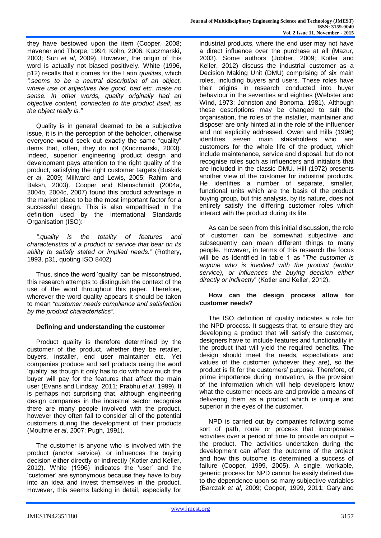they have bestowed upon the item (Cooper, 2008; Havener and Thorpe, 1994; Kohn, 2006; Kuczmarski, 2003; Sun *et al*, 2009). However, the origin of this word is actually not biased positively. White (1996, p12) recalls that it comes for the Latin *qualitas*, which *".seems to be a neutral description of an object, where use of adjectives like good, bad etc. make no sense. In other words, quality originally had an objective content, connected to the product itself, as the object really is."* 

Quality is in general deemed to be a subjective issue, it is in the perception of the beholder, otherwise everyone would seek out exactly the same "quality" items that, often, they do not (Kuczmarski, 2003). Indeed, superior engineering product design and development pays attention to the right quality of the product, satisfying the right customer targets (Buskirk *et al*, 2009; Millward and Lewis, 2005; Rahim and Baksh, 2003). Cooper and Kleinschmidt (2004a, 2004b, 2004c, 2007) found this product advantage in the market place to be the most important factor for a successful design. This is also empathised in the definition used by the International Standards Organisation (ISO):

*".quality is the totality of features and characteristics of a product or service that bear on its ability to satisfy stated or implied needs."* (Rothery, 1993, p31, quoting ISO 8402)

Thus, since the word 'quality' can be misconstrued, this research attempts to distinguish the context of the use of the word throughout this paper. Therefore, wherever the word quality appears it should be taken to mean *"customer needs compliance and satisfaction by the product characteristics".* 

# **Defining and understanding the customer**

Product quality is therefore determined by the customer of the product, whether they be retailer, buyers, installer, end user maintainer etc. Yet companies produce and sell products using the word 'quality' as though it only has to do with how much the buyer will pay for the features that affect the main user (Evans and Lindsay, 2011; Prabhu *et al*, 1999). It is perhaps not surprising that, although engineering design companies in the industrial sector recognise there are many people involved with the product, however they often fail to consider all of the potential customers during the development of their products (Moultrie *et al*, 2007; Pugh, 1991).

The customer is anyone who is involved with the product (and/or service), or influences the buying decision either directly or indirectly (Kotler and Keller, 2012). White (1996) indicates the 'user' and the 'customer' are synonymous because they have to buy into an idea and invest themselves in the product. However, this seems lacking in detail, especially for industrial products, where the end user may not have a direct influence over the purchase at all (Mazur, 2003). Some authors (Jobber, 2009; Kotler and Keller, 2012) discuss the industrial customer as a Decision Making Unit (DMU) comprising of six main roles, including buyers and users. These roles have their origins in research conducted into buyer behaviour in the seventies and eighties (Webster and Wind, 1973; Johnston and Bonoma, 1981). Although these descriptions may be changed to suit the organisation, the roles of the installer, maintainer and disposer are only hinted at in the role of the influencer and not explicitly addressed. Owen and Hills (1996) identifies seven main stakeholders who are customers for the whole life of the product, which include maintenance, service and disposal, but do not recognise roles such as influencers and initiators that are included in the classic DMU. Hill (1972) presents another view of the customer for industrial products. He identifies a number of separate, smaller, functional units which are the basis of the product buying group, but this analysis, by its nature, does not entirely satisfy the differing customer roles which interact with the product during its life.

As can be seen from this initial discussion, the role of customer can be somewhat subjective and subsequently can mean different things to many people. However, in terms of this research the focus will be as identified in table 1 as "*The customer is anyone who is involved with the product (and/or service), or influences the buying decision either directly or indirectly*" (Kotler and Keller, 2012).

#### **How can the design process allow for customer needs?**

The ISO definition of quality indicates a role for the NPD process. It suggests that, to ensure they are developing a product that will satisfy the customer, designers have to include features and functionality in the product that will yield the required benefits. The design should meet the needs, expectations and values of the customer (whoever they are), so the product is fit for the customers' purpose. Therefore, of prime importance during innovation, is the provision of the information which will help developers know what the customer needs are and provide a means of delivering them as a product which is unique and superior in the eyes of the customer.

NPD is carried out by companies following some sort of path, route or process that incorporates activities over a period of time to provide an output – the product. The activities undertaken during the development can affect the outcome of the project and how this outcome is determined a success of failure (Cooper, 1999, 2005). A single, workable, generic process for NPD cannot be easily defined due to the dependence upon so many subjective variables (Barczak *et al*, 2009; Cooper, 1999, 2011; Gary and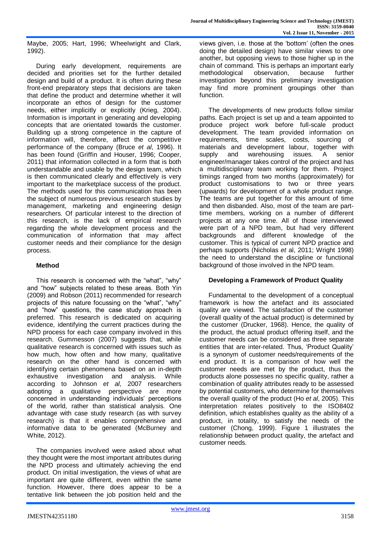Maybe, 2005; Hart, 1996; Wheelwright and Clark, 1992).

During early development, requirements are decided and priorities set for the further detailed design and build of a product. It is often during these front-end preparatory steps that decisions are taken that define the product and determine whether it will incorporate an ethos of design for the customer needs, either implicitly or explicitly (Krieg, 2004). Information is important in generating and developing concepts that are orientated towards the customer. Building up a strong competence in the capture of information will, therefore, affect the competitive performance of the company (Bruce *et al*, 1996). It has been found (Griffin and Houser, 1996; Cooper, 2011) that information collected in a form that is both understandable and usable by the design team, which is then communicated clearly and effectively is very important to the marketplace success of the product. The methods used for this communication has been the subject of numerous previous research studies by management, marketing and engineering design researchers. Of particular interest to the direction of this research, is the lack of empirical research regarding the whole development process and the communication of information that may affect customer needs and their compliance for the design process.

#### **Method**

This research is concerned with the "what", "why" and "how" subjects related to these areas. Both Yin (2009) and Robson (2011) recommended for research projects of this nature focussing on the "what", "why" and "how" questions, the case study approach is preferred. This research is dedicated on acquiring evidence, identifying the current practices during the NPD process for each case company involved in this research. Gummesson (2007) suggests that, while qualitative research is concerned with issues such as how much, how often and how many, qualitative research on the other hand is concerned with identifying certain phenomena based on an in-depth exhaustive investigation and analysis. While according to Johnson *et al*, 2007 researchers adopting a qualitative perspective are more concerned in understanding individuals' perceptions of the world, rather than statistical analysis. One advantage with case study research (as with survey research) is that it enables comprehensive and informative data to be generated (McBurney and White, 2012).

The companies involved were asked about what they thought were the most important attributes during the NPD process and ultimately achieving the end product. On initial investigation, the views of what are important are quite different, even within the same function. However, there does appear to be a tentative link between the job position held and the

views given, i.e. those at the 'bottom' (often the ones doing the detailed design) have similar views to one another, but opposing views to those higher up in the chain of command. This is perhaps an important early methodological observation, because further investigation beyond this preliminary investigation may find more prominent groupings other than function.

The developments of new products follow similar paths. Each project is set up and a team appointed to produce project work before full-scale product development. The team provided information on requirements, time scales, costs, sourcing of materials and development labour, together with supply and warehousing issues. A senior engineer/manager takes control of the project and has a multidisciplinary team working for them. Project timings ranged from two months (approximately) for product customisations to two or three years (upwards) for development of a whole product range. The teams are put together for this amount of time and then disbanded. Also, most of the team are parttime members, working on a number of different projects at any one time. All of those interviewed were part of a NPD team, but had very different backgrounds and different knowledge of the customer. This is typical of current NPD practice and perhaps supports (Nicholas *et* al, 2011; Wright 1998) the need to understand the discipline or functional background of those involved in the NPD team.

#### **Developing a Framework of Product Quality**

Fundamental to the development of a conceptual framework is how the artefact and its associated quality are viewed. The satisfaction of the customer (overall quality of the actual product) is determined by the customer (Drucker, 1968). Hence, the quality of the product, the actual product offering itself, and the customer needs can be considered as three separate entities that are inter-related. Thus, 'Product Quality' is a synonym of customer needs/requirements of the end product. It is a comparison of how well the customer needs are met by the product, thus the products alone possesses no specific quality, rather a combination of quality attributes ready to be assessed by potential customers, who determine for themselves the overall quality of the product (Ho *et al*, 2005). This interpretation relates positively to the ISO8402 definition, which establishes quality as the ability of a product, in totality, to satisfy the needs of the customer (Chong, 1999). Figure 1 illustrates the relationship between product quality, the artefact and customer needs.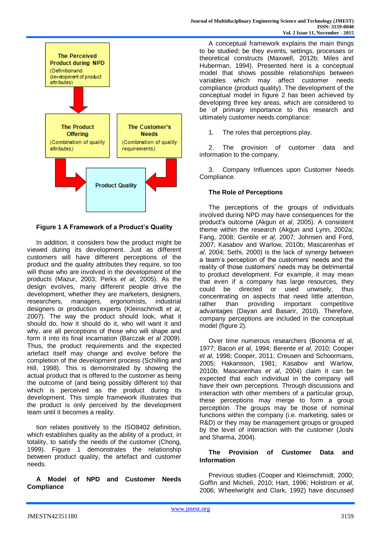

**Figure 1 A Framework of a Product's Quality**

In addition, it considers how the product might be viewed during its development. Just as different customers will have different perceptions of the product and the quality attributes they require, so too will those who are involved in the development of the products (Mazur, 2003; Perks *et al*, 2005). As the design evolves, many different people drive the development, whether they are marketers, designers, researchers, managers, ergonomists, industrial designers or production experts (Kleinschmidt *et al*, 2007). The way the product should look, what it should do, how it should do it, who will want it and why, are all perceptions of those who will shape and form it into its final incarnation (Barczak *et al* 2009). Thus, the product requirements and the expected artefact itself may change and evolve before the completion of the development process (Schilling and Hill, 1998). This is demonstrated by showing the actual product that is offered to the customer as being the outcome of (and being possibly different to) that which is perceived as the product during its development. This simple framework illustrates that the product is only perceived by the development team until it becomes a reality.

tion relates positively to the ISO8402 definition, which establishes quality as the ability of a product, in totality, to satisfy the needs of the customer (Chong, 1999). Figure 1 demonstrates the relationship between product quality, the artefact and customer needs.

**A Model of NPD and Customer Needs Compliance**

A conceptual framework explains the main things to be studied; be they events, settings, processes or theoretical constructs (Maxwell, 2012b; Miles and Huberman, 1994). Presented here is a conceptual model that shows possible relationships between variables which may affect customer needs compliance (product quality). The development of the conceptual model in figure 2 has been achieved by developing three key areas, which are considered to be of primary importance to this research and ultimately customer needs compliance:

1. The roles that perceptions play.

2. The provision of customer data and information to the company.

3. Company Influences upon Customer Needs Compliance.

# **The Role of Perceptions**

The perceptions of the groups of individuals involved during NPD may have consequences for the product's outcome (Akgun *et al*, 2005). A consistent theme within the research (Akgun and Lynn, 2002a; Fang, 2008; Gentile *et al*, 2007; Johnsen and Ford, 2007; Kasabov and Warlow, 2010b; Mascarenhas *et al*, 2004; Sethi, 2000) is the lack of synergy between a team's perception of the customers' needs and the reality of those customers' needs may be detrimental to product development. For example, it may mean that even if a company has large resources, they could be directed or used unwisely, thus concentrating on aspects that need little attention, rather than providing important competitive advantages (Dayan and Basarir, 2010). Therefore, company perceptions are included in the conceptual model (figure 2).

Over time numerous researchers (Bonoma *et* al, 1977; Bacon *et* al, 1994; Berente *et al*, 2010; Cooper *et al*, 1998; Cooper, 2011; Creusen and Schoormans, 2005; Hakansson, 1981; Kasabov and Warlow, 2010b; Mascarenhas *et al*, 2004) claim it can be expected that each individual in the company will have their own perceptions. Through discussions and interaction with other members of a particular group, these perceptions may merge to form a group perception. The groups may be those of nominal functions within the company (i.e. marketing, sales or R&D) or they may be management groups or grouped by the level of interaction with the customer (Joshi and Sharma, 2004).

#### **The Provision of Customer Data and Information**

Previous studies (Cooper and Kleinschmidt, 2000; Goffin and Micheli, 2010; Hart, 1996; Holstrom *et al*, 2006; Wheelwright and Clark, 1992) have discussed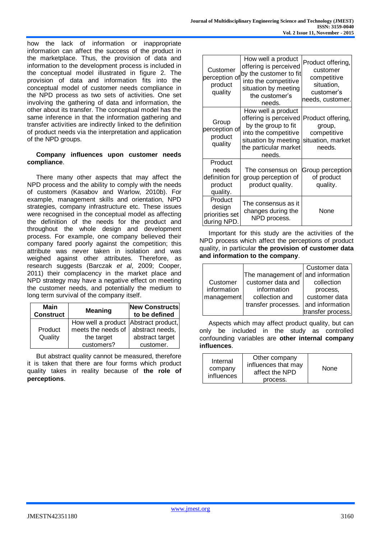how the lack of information or inappropriate information can affect the success of the product in the marketplace. Thus, the provision of data and information to the development process is included in the conceptual model illustrated in figure 2. The provision of data and information fits into the conceptual model of customer needs compliance in the NPD process as two sets of activities. One set involving the gathering of data and information, the other about its transfer. The conceptual model has the same inference in that the information gathering and transfer activities are indirectly linked to the definition of product needs via the interpretation and application of the NPD groups.

#### **Company influences upon customer needs compliance**.

There many other aspects that may affect the NPD process and the ability to comply with the needs of customers (Kasabov and Warlow, 2010b). For example, management skills and orientation, NPD strategies, company infrastructure etc. These issues were recognised in the conceptual model as affecting the definition of the needs for the product and throughout the whole design and development process. For example, one company believed their company fared poorly against the competition; this attribute was never taken in isolation and was weighed against other attributes. Therefore, as research suggests (Barczak *et al*, 2009; Cooper, 2011) their complacency in the market place and NPD strategy may have a negative effect on meeting the customer needs, and potentially the medium to long term survival of the company itself.

| Main<br><b>Construct</b> | <b>Meaning</b>                                                                         | <b>New Constructs</b><br>to be defined          |
|--------------------------|----------------------------------------------------------------------------------------|-------------------------------------------------|
| Product<br>Quality       | How well a product Abstract product,<br>meets the needs of<br>the target<br>customers? | abstract needs,<br>abstract target<br>customer. |

But abstract quality cannot be measured, therefore it is taken that there are four forms which product quality takes in reality because of **the role of perceptions**.

| Customer<br>perception of<br>product<br>quality           | How well a product<br>offering is perceived<br>by the customer to fit<br>into the competitive<br>situation by meeting<br>the customer's<br>needs.     | Product offering,<br>customer<br>competitive<br>situation,<br>customer's<br>needs, customer. |
|-----------------------------------------------------------|-------------------------------------------------------------------------------------------------------------------------------------------------------|----------------------------------------------------------------------------------------------|
| Group<br>perception of<br>product<br>quality              | How well a product<br>offering is perceived<br>by the group to fit<br>into the competitive<br>situation by meeting<br>the particular market<br>needs. | Product offering,<br>group,<br>competitive<br>situation, market<br>needs.                    |
| Product<br>needs<br>definition for<br>product<br>quality. | The consensus on<br>group perception of<br>product quality.                                                                                           | Group perception<br>of product<br>quality.                                                   |
| Product<br>design<br>priorities set<br>during NPD.        | The consensus as it<br>changes during the<br>NPD process.                                                                                             | None                                                                                         |

Important for this study are the activities of the NPD process which affect the perceptions of product quality, in particular **the provision of customer data and information to the company**.

|             |                                   | Customer data     |
|-------------|-----------------------------------|-------------------|
|             | The management of and information |                   |
| Customer    | customer data and                 | collection        |
| information | information                       | process,          |
| management  | collection and                    | customer data     |
|             | transfer processes.               | and information   |
|             |                                   | transfer process. |

Aspects which may affect product quality, but can only be included in the study as controlled confounding variables are **other internal company influences**.

| Internal<br>company<br>influences | Other company<br>influences that may<br>affect the NPD<br>process. | None |
|-----------------------------------|--------------------------------------------------------------------|------|
|-----------------------------------|--------------------------------------------------------------------|------|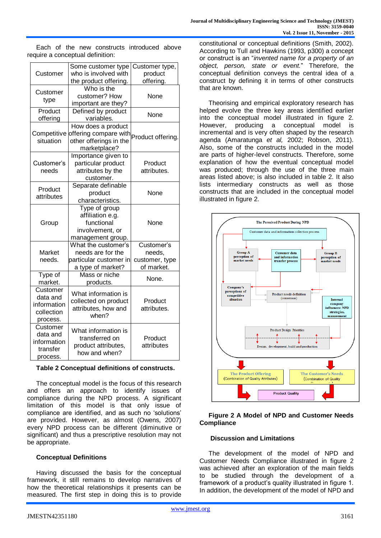Each of the new constructs introduced above require a conceptual definition:

|                                                               | Some customer type                                                                      | Customer type,                                       |
|---------------------------------------------------------------|-----------------------------------------------------------------------------------------|------------------------------------------------------|
| Customer                                                      | who is involved with                                                                    | product                                              |
|                                                               | the product offering.                                                                   | offering.                                            |
| Customer<br>type                                              | Who is the<br>customer? How<br>important are they?                                      | None                                                 |
| Product<br>offering                                           | Defined by product<br>variables.                                                        | None                                                 |
| Competitive<br>situation                                      | How does a product<br>offering compare with<br>other offerings in the<br>marketplace?   | Product offering.                                    |
| Customer's<br>needs                                           | Importance given to<br>particular product<br>attributes by the<br>customer.             | Product<br>attributes.                               |
| Product<br>attributes                                         | Separate definable<br>product<br>characteristics.                                       | None                                                 |
| Group                                                         | Type of group<br>affiliation e.g.<br>functional<br>involvement, or<br>management group. | None                                                 |
| Market<br>needs.                                              | What the customer's<br>needs are for the<br>particular customer in<br>a type of market? | Customer's<br>needs,<br>customer, type<br>of market. |
| Type of<br>market.                                            | Mass or niche<br>products.                                                              | None.                                                |
| Customer<br>data and<br>information<br>collection<br>process. | What information is<br>collected on product<br>attributes, how and<br>when?             | Product<br>attributes.                               |
| Customer<br>data and<br>information<br>transfer<br>process.   | What information is<br>transferred on<br>product attributes,<br>how and when?           | Product<br>attributes                                |

#### **Table 2 Conceptual definitions of constructs.**

The conceptual model is the focus of this research and offers an approach to identify issues of compliance during the NPD process. A significant limitation of this model is that only issue of compliance are identified, and as such no 'solutions' are provided. However, as almost (Owens, 2007) every NPD process can be different (diminutive or significant) and thus a prescriptive resolution may not be appropriate.

# **Conceptual Definitions**

Having discussed the basis for the conceptual framework, it still remains to develop narratives of how the theoretical relationships it presents can be measured. The first step in doing this is to provide

constitutional or conceptual definitions (Smith, 2002). According to Tull and Hawkins (1993, p300) a concept or construct is an "*invented name for a property of an object, person, state or event.*" Therefore, the conceptual definition conveys the central idea of a construct by defining it in terms of other constructs that are known.

Theorising and empirical exploratory research has helped evolve the three key areas identified earlier into the conceptual model illustrated in figure 2. However, producing a conceptual model is incremental and is very often shaped by the research agenda (Amaratunga *et al,* 2002; Robson, 2011). Also, some of the constructs included in the model are parts of higher-level constructs. Therefore, some explanation of how the eventual conceptual model was produced; through the use of the three main areas listed above; is also included in table 2. It also lists intermediary constructs as well as those constructs that are included in the conceptual model illustrated in figure 2.



#### **Figure 2 A Model of NPD and Customer Needs Compliance**

#### **Discussion and Limitations**

The development of the model of NPD and Customer Needs Compliance illustrated in figure 2 was achieved after an exploration of the main fields to be studied through the development of a framework of a product's quality illustrated in figure 1. In addition, the development of the model of NPD and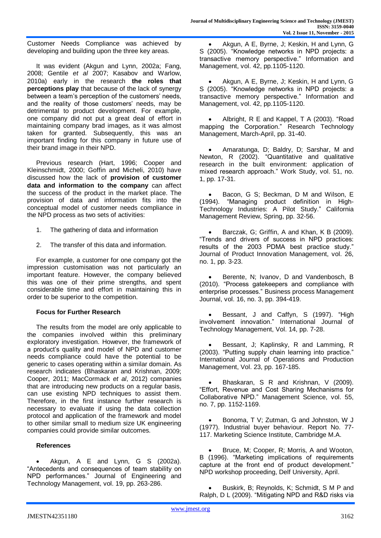Customer Needs Compliance was achieved by developing and building upon the three key areas.

It was evident (Akgun and Lynn, 2002a; Fang, 2008; Gentile *et al* 2007; Kasabov and Warlow, 2010a) early in the research **the roles that perceptions play** that because of the lack of synergy between a team's perception of the customers' needs, and the reality of those customers' needs, may be detrimental to product development. For example, one company did not put a great deal of effort in maintaining company brad images, as it was almost taken for granted. Subsequently, this was an important finding for this company in future use of their brand image in their NPD.

Previous research (Hart, 1996; Cooper and Kleinschmidt, 2000; Goffin and Micheli, 2010) have discussed how the lack of **provision of customer data and information to the company** can affect the success of the product in the market place. The provision of data and information fits into the conceptual model of customer needs compliance in the NPD process as two sets of activities:

- 1. The gathering of data and information
- 2. The transfer of this data and information.

For example, a customer for one company got the impression customisation was not particularly an important feature. However, the company believed this was one of their prime strengths, and spent considerable time and effort in maintaining this in order to be superior to the competition.

#### **Focus for Further Research**

The results from the model are only applicable to the companies involved within this preliminary exploratory investigation. However, the framework of a product's quality and model of NPD and customer needs compliance could have the potential to be generic to cases operating within a similar domain. As research indicates (Bhaskaran and Krishnan, 2009; Cooper, 2011; MacCormack *et al*, 2012) companies that are introducing new products on a regular basis, can use existing NPD techniques to assist them. Therefore, in the first instance further research is necessary to evaluate if using the data collection protocol and application of the framework and model to other similar small to medium size UK engineering companies could provide similar outcomes.

#### **References**

 Akgun, A E and Lynn, G S (2002a). "Antecedents and consequences of team stability on NPD performances." Journal of Engineering and Technology Management, vol. 19, pp. 263-286.

 Akgun, A E, Byrne, J; Keskin, H and Lynn, G S (2005). "Knowledge networks in NPD projects: a transactive memory perspective." Information and Management, vol. 42, pp.1105-1120.

 Akgun, A E, Byrne, J; Keskin, H and Lynn, G S (2005). "Knowledge networks in NPD projects: a transactive memory perspective." Information and Management, vol. 42, pp.1105-1120.

 Albright, R E and Kappel, T A (2003). "Road mapping the Corporation." Research Technology Management, March-April, pp. 31-40.

 Amaratunga, D; Baldry, D; Sarshar, M and Newton, R (2002). "Quantitative and qualitative research in the built environment: application of mixed research approach." Work Study, vol. 51, no. 1, pp. 17-31.

 Bacon, G S; Beckman, D M and Wilson, E (1994). "Managing product definition in High-Technology Industries: A Pilot Study." California Management Review, Spring, pp. 32-56.

 Barczak, G; Griffin, A and Khan, K B (2009). "Trends and drivers of success in NPD practices: results of the 2003 PDMA best practice study." Journal of Product Innovation Management, vol. 26, no. 1, pp. 3-23.

 Berente, N; Ivanov, D and Vandenbosch, B (2010). "Process gatekeepers and compliance with enterprise processes." Business process Management Journal, vol. 16, no. 3, pp. 394-419.

 Bessant, J and Caffyn, S (1997). "High involvement innovation." International Journal of Technology Management, Vol. 14, pp. 7-28.

 Bessant, J; Kaplinsky, R and Lamming, R (2003). "Putting supply chain learning into practice." International Journal of Operations and Production Management, Vol. 23, pp. 167-185.

 Bhaskaran, S R and Krishnan, V (2009). "Effort, Revenue and Cost Sharing Mechanisms for Collaborative NPD." Management Science, vol. 55, no. 7, pp. 1152-1169.

 Bonoma, T V; Zutman, G and Johnston, W J (1977). Industrial buyer behaviour. Report No. 77- 117. Marketing Science Institute, Cambridge M.A.

 Bruce, M; Cooper, R; Morris, A and Wooton, B (1996). "Marketing implications of requirements capture at the front end of product development." NPD workshop proceeding, Delf University, April.

 Buskirk, B; Reynolds, K; Schmidt, S M P and Ralph, D L (2009). "Mitigating NPD and R&D risks via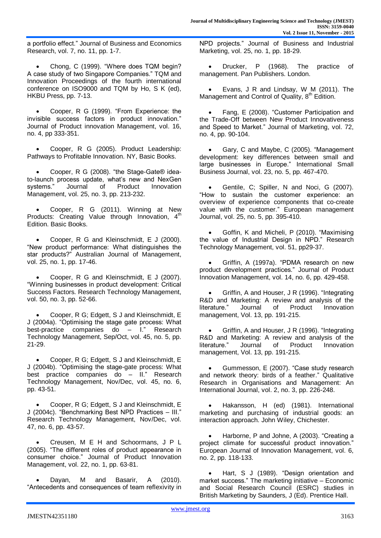a portfolio effect." Journal of Business and Economics Research, vol. 7, no. 11, pp. 1-7.

 Chong, C (1999). "Where does TQM begin? A case study of two Singapore Companies." TQM and Innovation Proceedings of the fourth international conference on ISO9000 and TQM by Ho, S K (ed), HKBU Press, pp. 7-13.

 Cooper, R G (1999). "From Experience: the invisible success factors in product innovation." Journal of Product innovation Management, vol. 16, no. 4, pp 333-351.

 Cooper, R G (2005). Product Leadership: Pathways to Profitable Innovation. NY, Basic Books.

 Cooper, R G (2008). "the Stage-Gate® ideato-launch process update, what's new and NexGen systems." Journal of Product Innovation Management, vol. 25, no. 3, pp. 213-232.

 Cooper, R G (2011). Winning at New Products: Creating Value through Innovation, 4<sup>th</sup> Edition. Basic Books.

 Cooper, R G and Kleinschmidt, E J (2000). "New product performance: What distinguishes the star products?" Australian Journal of Management, vol. 25, no. 1, pp. 17-46.

 Cooper, R G and Kleinschmidt, E J (2007). "Winning businesses in product development: Critical Success Factors. Research Technology Management, vol. 50, no. 3, pp. 52-66.

 Cooper, R G; Edgett, S J and Kleinschmidt, E J (2004a). "Optimising the stage gate process: What best-practice companies do – I." Research Technology Management, Sep/Oct, vol. 45, no. 5, pp. 21-29.

 Cooper, R G; Edgett, S J and Kleinschmidt, E J (2004b). "Optimising the stage-gate process: What best practice companies do – II." Research Technology Management, Nov/Dec, vol. 45, no. 6, pp. 43-51.

 Cooper, R G; Edgett, S J and Kleinschmidt, E J (2004c). "Benchmarking Best NPD Practices – III." Research Technology Management, Nov/Dec, vol. 47, no. 6, pp. 43-57.

 Creusen, M E H and Schoormans, J P L (2005). "The different roles of product appearance in consumer choice." Journal of Product Innovation Management, vol. 22, no. 1, pp. 63-81.

 Dayan, M and Basarir, A (2010). "Antecedents and consequences of team reflexivity in NPD projects." Journal of Business and Industrial Marketing, vol. 25, no. 1, pp. 18-29.

 Drucker, P (1968). The practice of management. Pan Publishers. London.

 Evans, J R and Lindsay, W M (2011). The Management and Control of Quality, 8<sup>th</sup> Edition.

 Fang, E (2008). "Customer Participation and the Trade-Off between New Product Innovativeness and Speed to Market." Journal of Marketing, vol. 72, no. 4, pp. 90-104.

 Gary, C and Maybe, C (2005). "Management development: key differences between small and large businesses in Europe." International Small Business Journal, vol. 23, no. 5, pp. 467-470.

 Gentile, C; Spiller, N and Noci, G (2007). "How to sustain the customer experience: an overview of experience components that co-create value with the customer." European management Journal, vol. 25, no. 5, pp. 395-410.

 Goffin, K and Micheli, P (2010). "Maximising the value of Industrial Design in NPD." Research Technology Management, vol. 51, pp29-37.

 Griffin, A (1997a). "PDMA research on new product development practices." Journal of Product Innovation Management, vol. 14, no. 6, pp. 429-458.

 Griffin, A and Houser, J R (1996). "Integrating R&D and Marketing: A review and analysis of the literature." Journal of Product Innovation management, Vol. 13, pp. 191-215.

 Griffin, A and Houser, J R (1996). "Integrating R&D and Marketing: A review and analysis of the literature." Journal of Product Innovation management, Vol. 13, pp. 191-215.

 Gummesson, E (2007). "Case study research and network theory: birds of a feather." Qualitative Research in Organisations and Management: An International Journal, vol. 2, no. 3, pp. 226-248.

 Hakansson, H (ed) (1981). International marketing and purchasing of industrial goods: an interaction approach. John Wiley, Chichester.

 Harborne, P and Johne, A (2003). "Creating a project climate for successful product innovation." European Journal of Innovation Management, vol. 6, no. 2, pp. 118-133.

 Hart, S J (1989). "Design orientation and market success." The marketing initiative – Economic and Social Research Council (ESRC) studies in British Marketing by Saunders, J (Ed). Prentice Hall.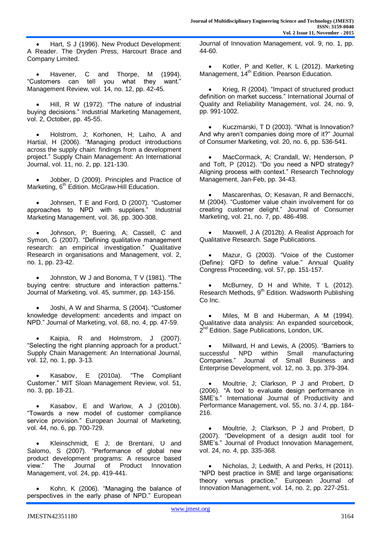Hart, S J (1996). New Product Development: A Reader. The Dryden Press, Harcourt Brace and Company Limited.

 Havener, C and Thorpe, M (1994). "Customers can tell you what they want." Management Review, vol. 14, no. 12, pp. 42-45.

 Hill, R W (1972). "The nature of industrial buying decisions." Industrial Marketing Management, vol. 2, October, pp. 45-55.

 Holstrom, J; Korhonen, H; Laiho, A and Hartial, H (2006). "Managing product introductions across the supply chain: findings from a development project." Supply Chain Management: An International Journal, vol. 11, no. 2, pp. 121-130.

 Jobber, D (2009). Principles and Practice of Marketing, 6<sup>th</sup> Edition. McGraw-Hill Education.

 Johnsen, T E and Ford, D (2007). "Customer approaches to NPD with suppliers." Industrial Marketing Management, vol. 36, pp. 300-308.

 Johnson, P; Buering, A; Cassell, C and Symon, G (2007). "Defining qualitative management research: an empirical investigation." Qualitative Research in organisations and Management, vol. 2, no. 1, pp. 23-42.

 Johnston, W J and Bonoma, T V (1981). "The buying centre: structure and interaction patterns." Journal of Marketing, vol. 45, summer, pp. 143-156.

 Joshi, A W and Sharma, S (2004). "Customer knowledge development: ancedents and impact on NPD." Journal of Marketing, vol. 68, no. 4, pp. 47-59.

 Kaipia, R and Holmstrom, J (2007). "Selecting the right planning approach for a product." Supply Chain Management: An International Journal, vol. 12, no. 1, pp. 3-13.

 Kasabov, E (2010a). "The Compliant Customer." MIT Sloan Management Review, vol. 51, no. 3, pp. 18-21.

 Kasabov, E and Warlow, A J (2010b). "Towards a new model of customer compliance service provision." European Journal of Marketing, vol. 44, no. 6, pp. 700-729.

 Kleinschmidt, E J; de Brentani, U and Salomo, S (2007). "Performance of global new product development programs: A resource based view." The Journal of Product Innovation Management, vol. 24, pp. 419-441.

 Kohn, K (2006). "Managing the balance of perspectives in the early phase of NPD." European Journal of Innovation Management, vol. 9, no. 1, pp. 44-60.

 Kotler, P and Keller, K L (2012). Marketing Management, 14<sup>th</sup> Edition. Pearson Education.

 Krieg, R (2004). "Impact of structured product definition on market success." International Journal of Quality and Reliability Management, vol. 24, no. 9, pp. 991-1002.

 Kuczmarski, T D (2003). "What is Innovation? And why aren't companies doing more of it?" Journal of Consumer Marketing, vol. 20, no. 6, pp. 536-541.

 MacCormack, A; Crandall, W; Henderson, P and Toft, P (2012). "Do you need a NPD strategy? Aligning process with context." Research Technology Management, Jan-Feb, pp. 34-43.

 Mascarenhas, O; Kesavan, R and Bernacchi, M (2004). "Customer value chain involvement for co creating customer delight." Journal of Consumer Marketing, vol. 21, no. 7, pp. 486-498.

 Maxwell, J A (2012b). A Realist Approach for Qualitative Research. Sage Publications.

 Mazur, G (2003). "Voice of the Customer (Define): QFD to define value." Annual Quality Congress Proceeding, vol. 57, pp. 151-157.

 McBurney, D H and White, T L (2012). Research Methods, 9<sup>th</sup> Edition. Wadsworth Publishing Co Inc.

 Miles, M B and Huberman, A M (1994). Qualitative data analysis: An expanded sourcebook, 2<sup>nd</sup> Edition. Sage Publications, London, UK.

 Millward, H and Lewis, A (2005). "Barriers to successful NPD within Small manufacturing Companies." Journal of Small Business and Enterprise Development, vol. 12, no. 3, pp. 379-394.

 Moultrie, J; Clarkson, P J and Probert, D (2006). "A tool to evaluate design performance in SME's." International Journal of Productivity and Performance Management, vol. 55, no. 3 / 4, pp. 184- 216.

 Moultrie, J; Clarkson, P J and Probert, D (2007). "Development of a design audit tool for SME's." Journal of Product Innovation Management, vol. 24, no. 4, pp. 335-368.

 Nicholas, J; Ledwith, A and Perks, H (2011). "NPD best practice in SME and large organisations: theory versus practice." European Journal of Innovation Management, vol. 14, no. 2, pp. 227-251.